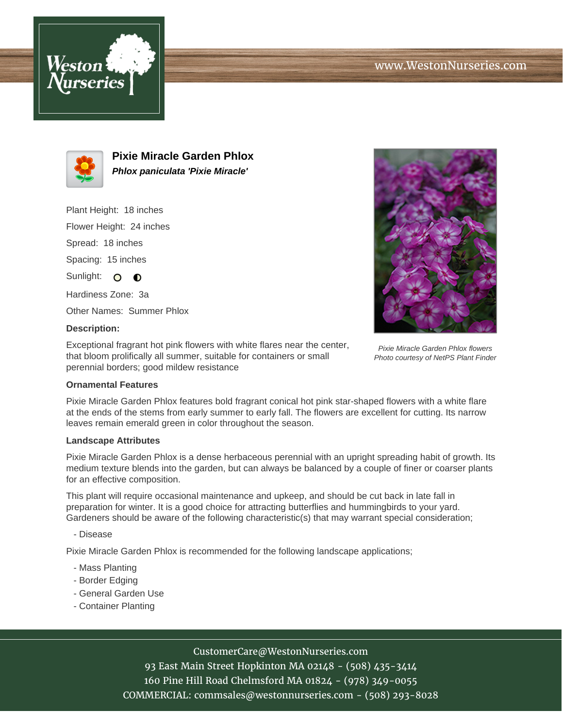



**Pixie Miracle Garden Phlox Phlox paniculata 'Pixie Miracle'**

Plant Height: 18 inches

Flower Height: 24 inches

Spread: 18 inches

Spacing: 15 inches

Sunlight: O O

Hardiness Zone: 3a

Other Names: Summer Phlox

## **Description:**

Exceptional fragrant hot pink flowers with white flares near the center, that bloom prolifically all summer, suitable for containers or small perennial borders; good mildew resistance



Pixie Miracle Garden Phlox features bold fragrant conical hot pink star-shaped flowers with a white flare at the ends of the stems from early summer to early fall. The flowers are excellent for cutting. Its narrow leaves remain emerald green in color throughout the season.

## **Landscape Attributes**

Pixie Miracle Garden Phlox is a dense herbaceous perennial with an upright spreading habit of growth. Its medium texture blends into the garden, but can always be balanced by a couple of finer or coarser plants for an effective composition.

This plant will require occasional maintenance and upkeep, and should be cut back in late fall in preparation for winter. It is a good choice for attracting butterflies and hummingbirds to your yard. Gardeners should be aware of the following characteristic(s) that may warrant special consideration;

- Disease

Pixie Miracle Garden Phlox is recommended for the following landscape applications;

- Mass Planting
- Border Edging
- General Garden Use
- Container Planting



93 East Main Street Hopkinton MA 02148 - (508) 435-3414 160 Pine Hill Road Chelmsford MA 01824 - (978) 349-0055 COMMERCIAL: commsales@westonnurseries.com - (508) 293-8028



Pixie Miracle Garden Phlox flowers Photo courtesy of NetPS Plant Finder